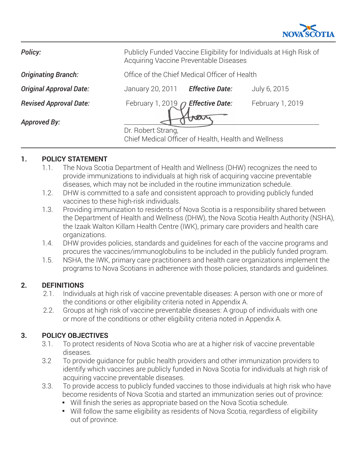

**Policy:** Publicly Funded Vaccine Eligibility for Individuals at High Risk of

**Originating Branch: Office of the Chief Medical Officer of Health** 

Acquiring Vaccine Preventable Diseases

**Original Approval Date:** January 20, 2011 *Effective Date:* July 6, 2015

*Revised Approval Date:* February 1, 2019 *Effective Date:* February 1, 2019

*Approved By:*

Dr. Robert Strang, Chief Medical Officer of Health, Health and Wellness

# **1. POLICY STATEMENT**

- 1.1. The Nova Scotia Department of Health and Wellness (DHW) recognizes the need to provide immunizations to individuals at high risk of acquiring vaccine preventable diseases, which may not be included in the routine immunization schedule.
- 1.2. DHW is committed to a safe and consistent approach to providing publicly funded vaccines to these high-risk individuals.
- 1.3. Providing immunization to residents of Nova Scotia is a responsibility shared between the Department of Health and Wellness (DHW), the Nova Scotia Health Authority (NSHA), the Izaak Walton Killam Health Centre (IWK), primary care providers and health care organizations.
- 1.4. DHW provides policies, standards and guidelines for each of the vaccine programs and procures the vaccines/immunoglobulins to be included in the publicly funded program.
- 1.5. NSHA, the IWK, primary care practitioners and health care organizations implement the programs to Nova Scotians in adherence with those policies, standards and guidelines.

# **2. DEFINITIONS**

- 2.1. Individuals at high risk of vaccine preventable diseases: A person with one or more of the conditions or other eligibility criteria noted in Appendix A.
- 2.2. Groups at high risk of vaccine preventable diseases: A group of individuals with one or more of the conditions or other eligibility criteria noted in Appendix A.

# **3. POLICY OBJECTIVES**

- 3.1. To protect residents of Nova Scotia who are at a higher risk of vaccine preventable diseases.
- 3.2 To provide guidance for public health providers and other immunization providers to identify which vaccines are publicly funded in Nova Scotia for individuals at high risk of acquiring vaccine preventable diseases.
- 3.3. To provide access to publicly funded vaccines to those individuals at high risk who have become residents of Nova Scotia and started an immunization series out of province:
	- Will finish the series as appropriate based on the Nova Scotia schedule.
	- Will follow the same eligibility as residents of Nova Scotia, regardless of eligibility out of province.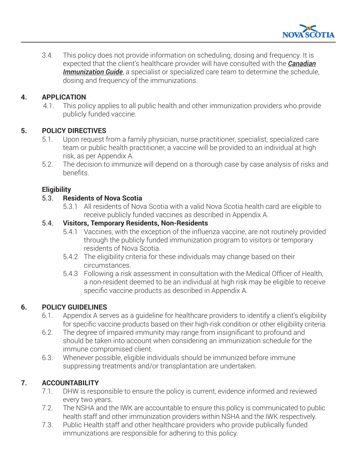

3.4. This policy does not provide information on scheduling, dosing and frequency. It is expected that the client's healthcare provider will have consulted with the *[Canadian](https://www.canada.ca/en/public-health/services/canadian-immunization-guide.html) [Immunization Guide](https://www.canada.ca/en/public-health/services/canadian-immunization-guide.html)*, a specialist or specialized care team to determine the schedule, dosing and frequency of the immunizations.

#### **4. APPLICATION**

4.1. This policy applies to all public health and other immunization providers who provide publicly funded vaccine.

## **5. POLICY DIRECTIVES**

- 5.1. Upon request from a family physician, nurse practitioner, specialist, specialized care team or public health practitioner, a vaccine will be provided to an individual at high risk, as per Appendix A.
- 5.2. The decision to immunize will depend on a thorough case by case analysis of risks and benefits.

## **Eligibility**

#### 5.3. **Residents of Nova Scotia**

5.3.1 All residents of Nova Scotia with a valid Nova Scotia health card are eligible to receive publicly funded vaccines as described in Appendix A.

## 5.4. **Visitors, Temporary Residents, Non-Residents**

- 5.4.1 Vaccines, with the exception of the influenza vaccine, are not routinely provided through the publicly funded immunization program to visitors or temporary residents of Nova Scotia.
- 5.4.2 The eligibility criteria for these individuals may change based on their circumstances.
- 5.4.3 Following a risk assessment in consultation with the Medical Officer of Health, a non-resident deemed to be an individual at high risk may be eligible to receive specific vaccine products as described in Appendix A.

# **6. POLICY GUIDELINES**

- 6.1. Appendix A serves as a guideline for healthcare providers to identify a client's eligibility for specific vaccine products based on their high-risk condition or other eligibility criteria.
- 6.2. The degree of impaired immunity may range from insignificant to profound and should be taken into account when considering an immunization schedule for the immune compromised client.
- 6.3. Whenever possible, eligible individuals should be immunized before immune suppressing treatments and/or transplantation are undertaken.

# **7. ACCOUNTABILITY**

- 7.1. DHW is responsible to ensure the policy is current, evidence informed and reviewed every two years.
- 7.2. The NSHA and the IWK are accountable to ensure this policy is communicated to public health staff and other immunization providers within NSHA and the IWK respectively.
- 7.3. Public Health staff and other healthcare providers who provide publically funded immunizations are responsible for adhering to this policy.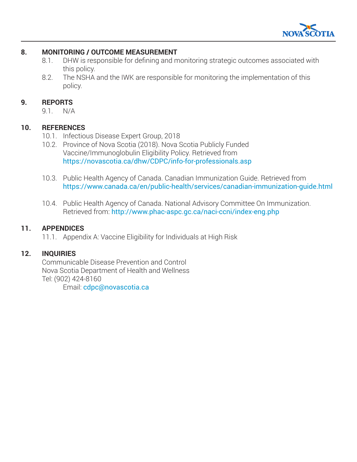

#### **8. MONITORING / OUTCOME MEASUREMENT**

- 8.1. DHW is responsible for defining and monitoring strategic outcomes associated with this policy.
- 8.2. The NSHA and the IWK are responsible for monitoring the implementation of this policy.

#### **9. REPORTS**

9.1. N/A

#### **10. REFERENCES**

- 10.1. Infectious Disease Expert Group, 2018
- 10.2. Province of Nova Scotia (2018). Nova Scotia Publicly Funded Vaccine/Immunoglobulin Eligibility Policy. Retrieved from https://novascotia.ca/dhw/CDPC/info-for-professionals.asp
- 10.3. Public Health Agency of Canada. Canadian Immunization Guide. Retrieved from https://www.canada.ca/en/public-health/services/canadian-immunization-guide.html
- 10.4. Public Health Agency of Canada. National Advisory Committee On Immunization. Retrieved from: http://www.phac-aspc.gc.ca/naci-ccni/index-eng.php

#### **11. APPENDICES**

11.1. Appendix A: Vaccine Eligibility for Individuals at High Risk

#### **12. INQUIRIES**

Communicable Disease Prevention and Control Nova Scotia Department of Health and Wellness Tel: (902) 424-8160

Email: cdpc@novascotia.ca